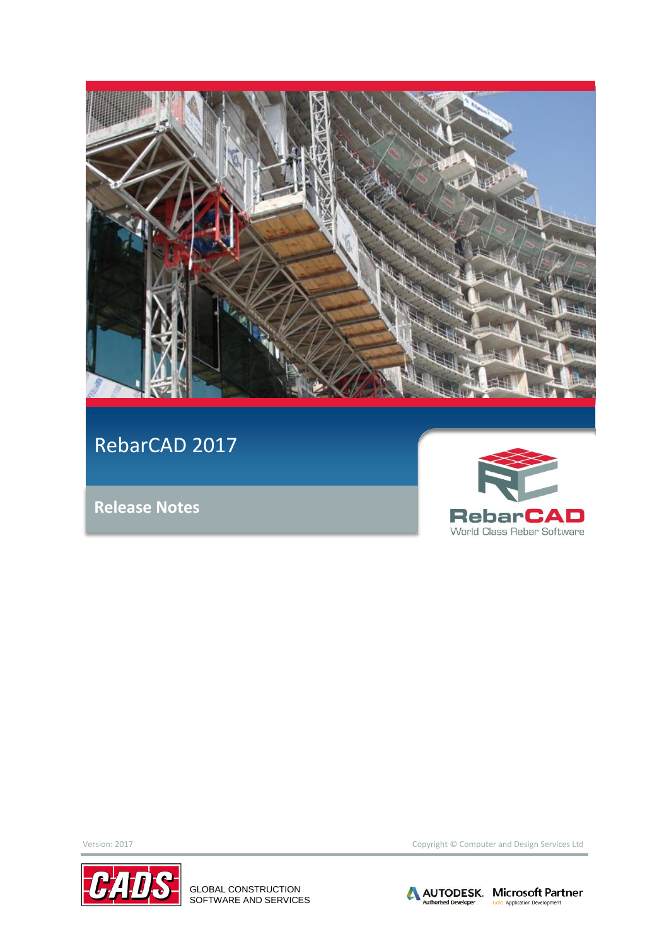

RebarCAD 2017

**Release Notes**





GLOBAL CONSTRUCTION SOFTWARE AND SERVICES

Version: 2017 Copyright © Computer and Design Services Ltd

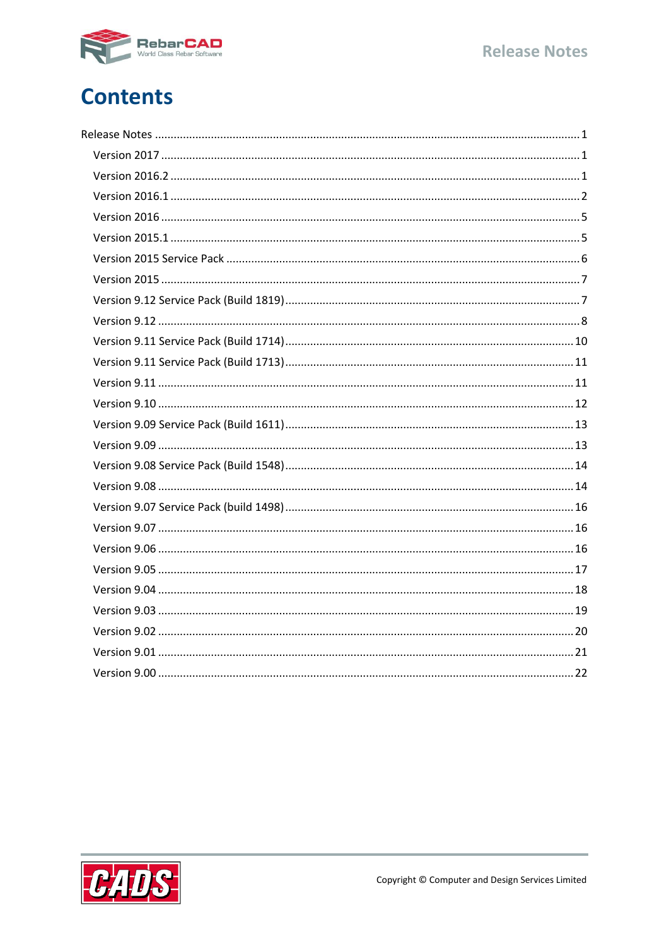

# **Contents**

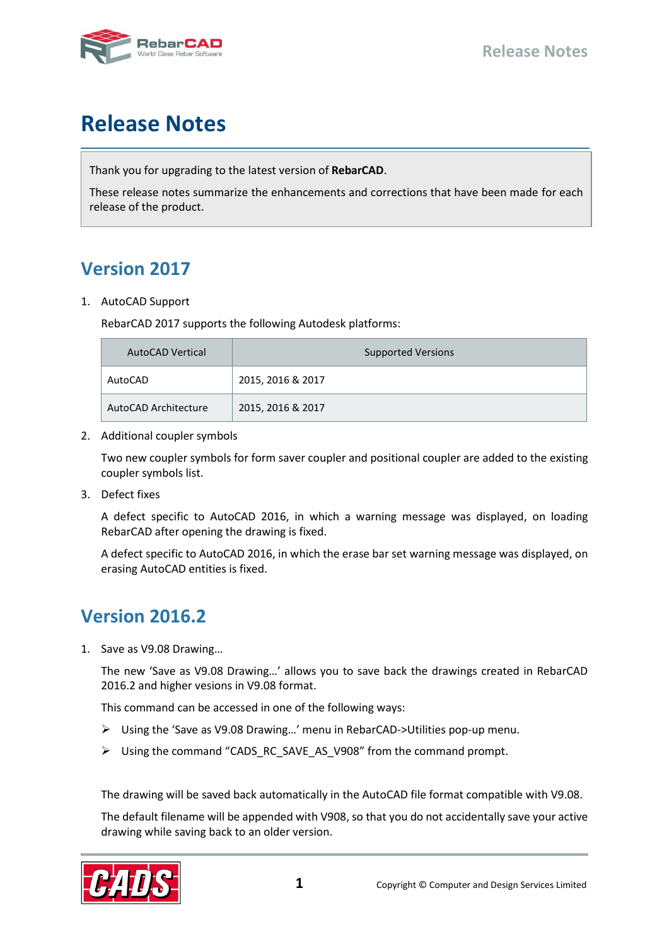

# <span id="page-2-0"></span>**Release Notes**

Thank you for upgrading to the latest version of **RebarCAD**.

These release notes summarize the enhancements and corrections that have been made for each release of the product.

# <span id="page-2-1"></span>**Version 2017**

1. AutoCAD Support

RebarCAD 2017 supports the following Autodesk platforms:

| <b>AutoCAD Vertical</b> | <b>Supported Versions</b> |  |  |
|-------------------------|---------------------------|--|--|
| AutoCAD                 | 2015, 2016 & 2017         |  |  |
| AutoCAD Architecture    | 2015, 2016 & 2017         |  |  |

2. Additional coupler symbols

Two new coupler symbols for form saver coupler and positional coupler are added to the existing coupler symbols list.

3. Defect fixes

A defect specific to AutoCAD 2016, in which a warning message was displayed, on loading RebarCAD after opening the drawing is fixed.

A defect specific to AutoCAD 2016, in which the erase bar set warning message was displayed, on erasing AutoCAD entities is fixed.

# <span id="page-2-2"></span>**Version 2016.2**

1. Save as V9.08 Drawing…

The new 'Save as V9.08 Drawing…' allows you to save back the drawings created in RebarCAD 2016.2 and higher vesions in V9.08 format.

This command can be accessed in one of the following ways:

- Using the 'Save as V9.08 Drawing…' menu in RebarCAD->Utilities pop-up menu.
- Using the command "CADS\_RC\_SAVE\_AS\_V908" from the command prompt.

The drawing will be saved back automatically in the AutoCAD file format compatible with V9.08.

The default filename will be appended with V908, so that you do not accidentally save your active drawing while saving back to an older version.

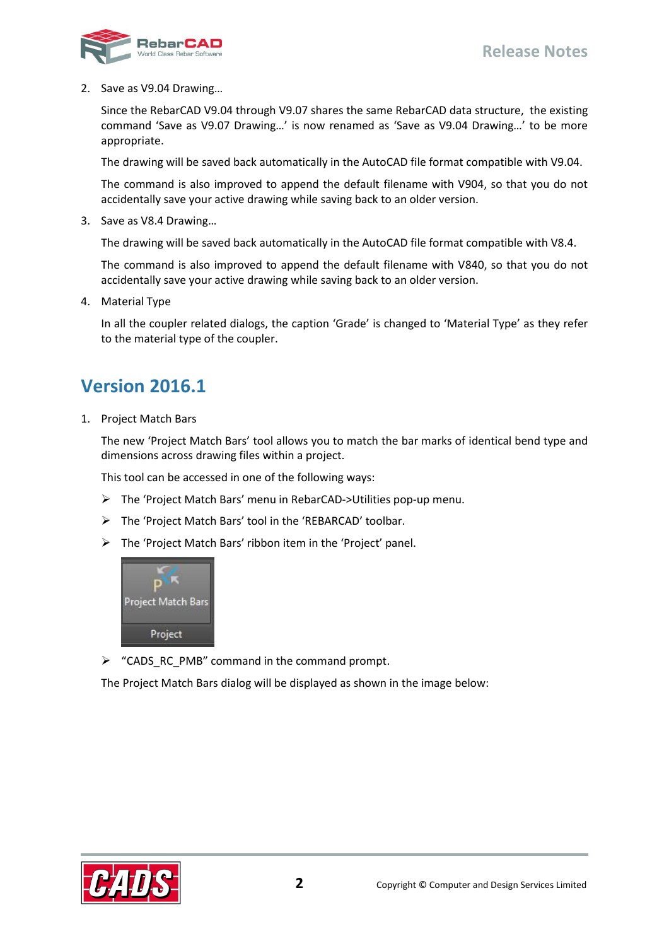

2. Save as V9.04 Drawing…

Since the RebarCAD V9.04 through V9.07 shares the same RebarCAD data structure, the existing command 'Save as V9.07 Drawing…' is now renamed as 'Save as V9.04 Drawing…' to be more appropriate.

The drawing will be saved back automatically in the AutoCAD file format compatible with V9.04.

The command is also improved to append the default filename with V904, so that you do not accidentally save your active drawing while saving back to an older version.

3. Save as V8.4 Drawing…

The drawing will be saved back automatically in the AutoCAD file format compatible with V8.4.

The command is also improved to append the default filename with V840, so that you do not accidentally save your active drawing while saving back to an older version.

4. Material Type

In all the coupler related dialogs, the caption 'Grade' is changed to 'Material Type' as they refer to the material type of the coupler.

#### <span id="page-3-0"></span>**Version 2016.1**

1. Project Match Bars

The new 'Project Match Bars' tool allows you to match the bar marks of identical bend type and dimensions across drawing files within a project.

This tool can be accessed in one of the following ways:

- The 'Project Match Bars' menu in RebarCAD->Utilities pop-up menu.
- The 'Project Match Bars' tool in the 'REBARCAD' toolbar.
- The 'Project Match Bars' ribbon item in the 'Project' panel.



 $\triangleright$  "CADS RC PMB" command in the command prompt.

The Project Match Bars dialog will be displayed as shown in the image below:

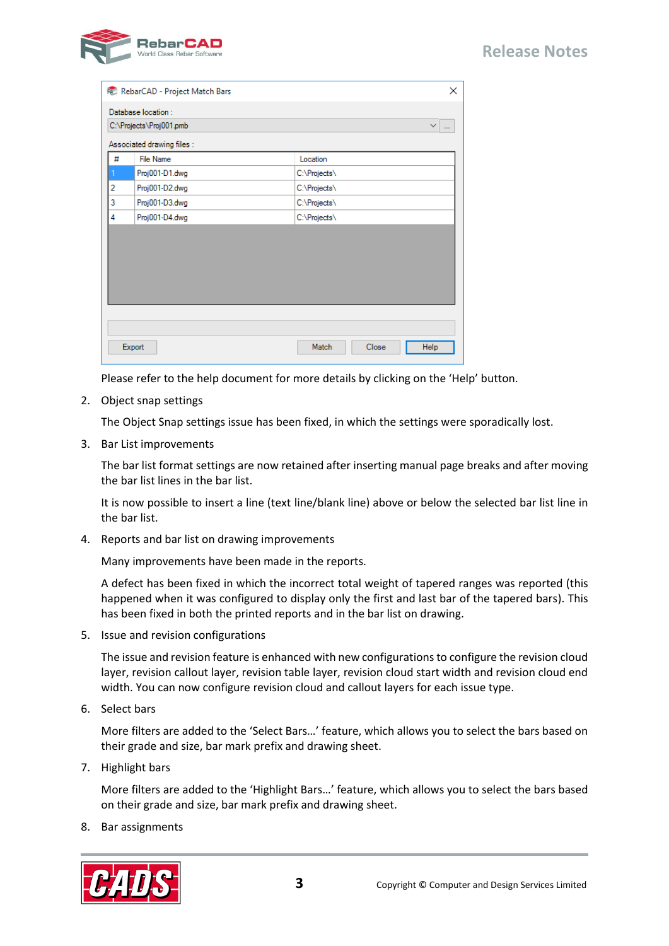#### **Release Notes**



|                                               | RebarCAD - Project Match Bars                  | $\times$               |
|-----------------------------------------------|------------------------------------------------|------------------------|
| Database location:<br>C:\Projects\Proj001.pmb | $\checkmark$<br>$\cdots$                       |                        |
| #                                             | Associated drawing files :<br><b>File Name</b> | Location               |
|                                               | Proj001-D1.dwg                                 | C:\Projects\           |
| 2                                             | Proj001-D2.dwg                                 | C:\Projects\           |
| 3                                             | Proj001-D3.dwg                                 | C:\Projects\           |
| 4                                             | Proj001-D4.dwg                                 | C:\Projects\           |
|                                               |                                                |                        |
|                                               |                                                |                        |
|                                               |                                                |                        |
|                                               |                                                |                        |
|                                               |                                                |                        |
|                                               |                                                |                        |
|                                               |                                                |                        |
|                                               | Export                                         | Match<br>Close<br>Help |

Please refer to the help document for more details by clicking on the 'Help' button.

2. Object snap settings

The Object Snap settings issue has been fixed, in which the settings were sporadically lost.

3. Bar List improvements

The bar list format settings are now retained after inserting manual page breaks and after moving the bar list lines in the bar list.

It is now possible to insert a line (text line/blank line) above or below the selected bar list line in the bar list.

4. Reports and bar list on drawing improvements

Many improvements have been made in the reports.

A defect has been fixed in which the incorrect total weight of tapered ranges was reported (this happened when it was configured to display only the first and last bar of the tapered bars). This has been fixed in both the printed reports and in the bar list on drawing.

5. Issue and revision configurations

The issue and revision feature is enhanced with new configurations to configure the revision cloud layer, revision callout layer, revision table layer, revision cloud start width and revision cloud end width. You can now configure revision cloud and callout layers for each issue type.

6. Select bars

More filters are added to the 'Select Bars…' feature, which allows you to select the bars based on their grade and size, bar mark prefix and drawing sheet.

7. Highlight bars

More filters are added to the 'Highlight Bars…' feature, which allows you to select the bars based on their grade and size, bar mark prefix and drawing sheet.

8. Bar assignments

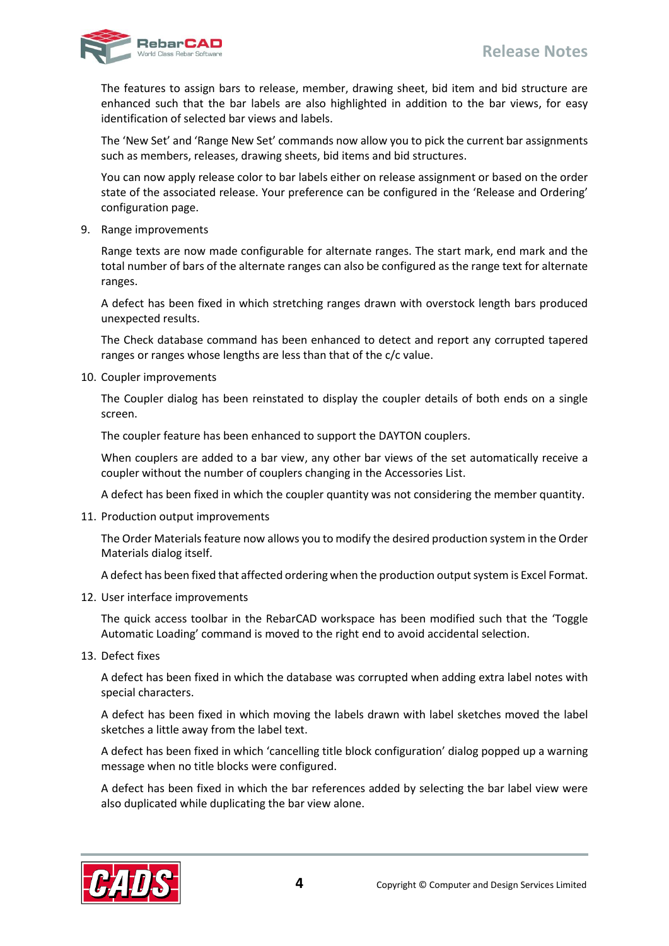#### **Release Notes**



The features to assign bars to release, member, drawing sheet, bid item and bid structure are enhanced such that the bar labels are also highlighted in addition to the bar views, for easy identification of selected bar views and labels.

The 'New Set' and 'Range New Set' commands now allow you to pick the current bar assignments such as members, releases, drawing sheets, bid items and bid structures.

You can now apply release color to bar labels either on release assignment or based on the order state of the associated release. Your preference can be configured in the 'Release and Ordering' configuration page.

9. Range improvements

Range texts are now made configurable for alternate ranges. The start mark, end mark and the total number of bars of the alternate ranges can also be configured as the range text for alternate ranges.

A defect has been fixed in which stretching ranges drawn with overstock length bars produced unexpected results.

The Check database command has been enhanced to detect and report any corrupted tapered ranges or ranges whose lengths are less than that of the c/c value.

10. Coupler improvements

The Coupler dialog has been reinstated to display the coupler details of both ends on a single screen.

The coupler feature has been enhanced to support the DAYTON couplers.

When couplers are added to a bar view, any other bar views of the set automatically receive a coupler without the number of couplers changing in the Accessories List.

A defect has been fixed in which the coupler quantity was not considering the member quantity.

11. Production output improvements

The Order Materials feature now allows you to modify the desired production system in the Order Materials dialog itself.

A defect has been fixed that affected ordering when the production output system is Excel Format.

12. User interface improvements

The quick access toolbar in the RebarCAD workspace has been modified such that the 'Toggle Automatic Loading' command is moved to the right end to avoid accidental selection.

13. Defect fixes

A defect has been fixed in which the database was corrupted when adding extra label notes with special characters.

A defect has been fixed in which moving the labels drawn with label sketches moved the label sketches a little away from the label text.

A defect has been fixed in which 'cancelling title block configuration' dialog popped up a warning message when no title blocks were configured.

A defect has been fixed in which the bar references added by selecting the bar label view were also duplicated while duplicating the bar view alone.

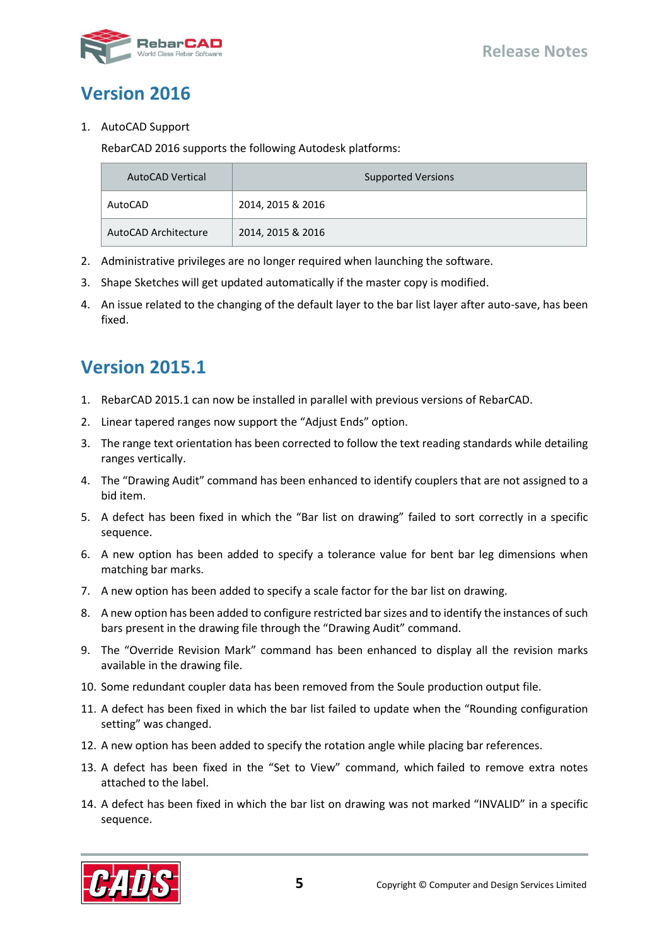

### <span id="page-6-0"></span>**Version 2016**

#### 1. AutoCAD Support

RebarCAD 2016 supports the following Autodesk platforms:

| AutoCAD Vertical     | <b>Supported Versions</b> |
|----------------------|---------------------------|
| AutoCAD              | 2014, 2015 & 2016         |
| AutoCAD Architecture | 2014, 2015 & 2016         |

- 2. Administrative privileges are no longer required when launching the software.
- 3. Shape Sketches will get updated automatically if the master copy is modified.
- 4. An issue related to the changing of the default layer to the bar list layer after auto-save, has been fixed.

## <span id="page-6-1"></span>**Version 2015.1**

- 1. RebarCAD 2015.1 can now be installed in parallel with previous versions of RebarCAD.
- 2. Linear tapered ranges now support the "Adjust Ends" option.
- 3. The range text orientation has been corrected to follow the text reading standards while detailing ranges vertically.
- 4. The "Drawing Audit" command has been enhanced to identify couplers that are not assigned to a bid item.
- 5. A defect has been fixed in which the "Bar list on drawing" failed to sort correctly in a specific sequence.
- 6. A new option has been added to specify a tolerance value for bent bar leg dimensions when matching bar marks.
- 7. A new option has been added to specify a scale factor for the bar list on drawing.
- 8. A new option has been added to configure restricted bar sizes and to identify the instances of such bars present in the drawing file through the "Drawing Audit" command.
- 9. The "Override Revision Mark" command has been enhanced to display all the revision marks available in the drawing file.
- 10. Some redundant coupler data has been removed from the Soule production output file.
- 11. A defect has been fixed in which the bar list failed to update when the "Rounding configuration setting" was changed.
- 12. A new option has been added to specify the rotation angle while placing bar references.
- 13. A defect has been fixed in the "Set to View" command, which failed to remove extra notes attached to the label.
- 14. A defect has been fixed in which the bar list on drawing was not marked "INVALID" in a specific sequence.

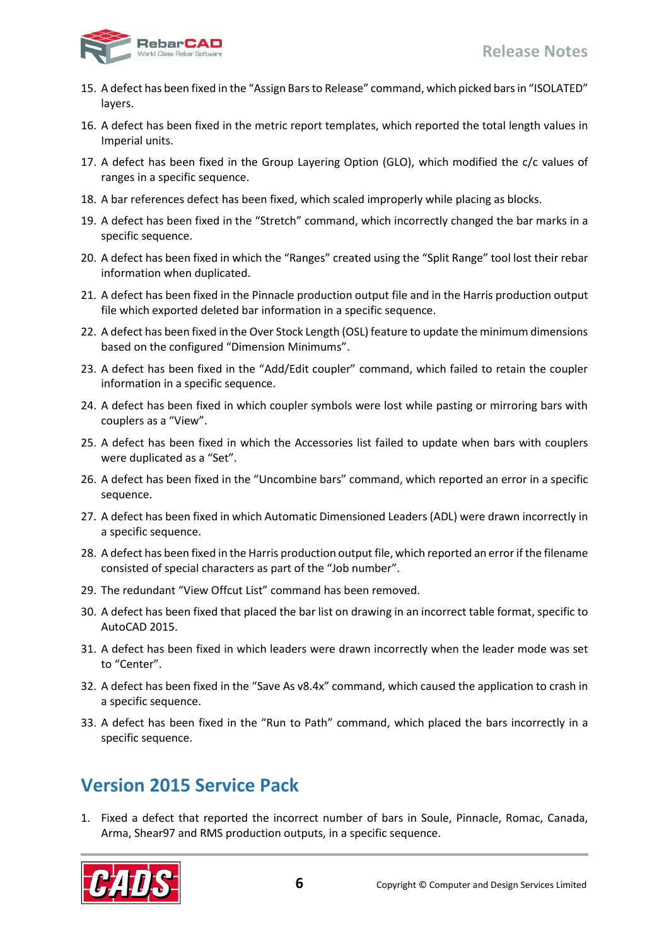

- 15. A defect has been fixed in the "Assign Bars to Release" command, which picked bars in "ISOLATED" layers.
- 16. A defect has been fixed in the metric report templates, which reported the total length values in Imperial units.
- 17. A defect has been fixed in the Group Layering Option (GLO), which modified the c/c values of ranges in a specific sequence.
- 18. A bar references defect has been fixed, which scaled improperly while placing as blocks.
- 19. A defect has been fixed in the "Stretch" command, which incorrectly changed the bar marks in a specific sequence.
- 20. A defect has been fixed in which the "Ranges" created using the "Split Range" tool lost their rebar information when duplicated.
- 21. A defect has been fixed in the Pinnacle production output file and in the Harris production output file which exported deleted bar information in a specific sequence.
- 22. A defect has been fixed in the Over Stock Length (OSL) feature to update the minimum dimensions based on the configured "Dimension Minimums".
- 23. A defect has been fixed in the "Add/Edit coupler" command, which failed to retain the coupler information in a specific sequence.
- 24. A defect has been fixed in which coupler symbols were lost while pasting or mirroring bars with couplers as a "View".
- 25. A defect has been fixed in which the Accessories list failed to update when bars with couplers were duplicated as a "Set".
- 26. A defect has been fixed in the "Uncombine bars" command, which reported an error in a specific sequence.
- 27. A defect has been fixed in which Automatic Dimensioned Leaders (ADL) were drawn incorrectly in a specific sequence.
- 28. A defect has been fixed in the Harris production output file, which reported an error if the filename consisted of special characters as part of the "Job number".
- 29. The redundant "View Offcut List" command has been removed.
- 30. A defect has been fixed that placed the bar list on drawing in an incorrect table format, specific to AutoCAD 2015.
- 31. A defect has been fixed in which leaders were drawn incorrectly when the leader mode was set to "Center".
- 32. A defect has been fixed in the "Save As v8.4x" command, which caused the application to crash in a specific sequence.
- 33. A defect has been fixed in the "Run to Path" command, which placed the bars incorrectly in a specific sequence.

### <span id="page-7-0"></span>**Version 2015 Service Pack**

1. Fixed a defect that reported the incorrect number of bars in Soule, Pinnacle, Romac, Canada, Arma, Shear97 and RMS production outputs, in a specific sequence.

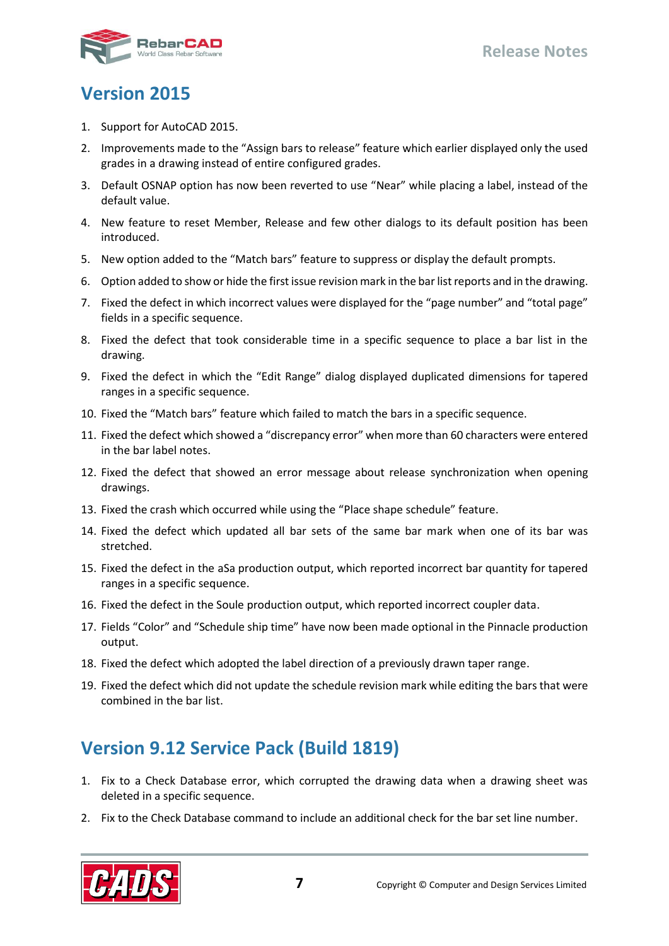#### <span id="page-8-0"></span>**Version 2015**

- 1. Support for AutoCAD 2015.
- 2. Improvements made to the "Assign bars to release" feature which earlier displayed only the used grades in a drawing instead of entire configured grades.
- 3. Default OSNAP option has now been reverted to use "Near" while placing a label, instead of the default value.
- 4. New feature to reset Member, Release and few other dialogs to its default position has been introduced.
- 5. New option added to the "Match bars" feature to suppress or display the default prompts.
- 6. Option added to show or hide the first issue revision mark in the bar list reports and in the drawing.
- 7. Fixed the defect in which incorrect values were displayed for the "page number" and "total page" fields in a specific sequence.
- 8. Fixed the defect that took considerable time in a specific sequence to place a bar list in the drawing.
- 9. Fixed the defect in which the "Edit Range" dialog displayed duplicated dimensions for tapered ranges in a specific sequence.
- 10. Fixed the "Match bars" feature which failed to match the bars in a specific sequence.
- 11. Fixed the defect which showed a "discrepancy error" when more than 60 characters were entered in the bar label notes.
- 12. Fixed the defect that showed an error message about release synchronization when opening drawings.
- 13. Fixed the crash which occurred while using the "Place shape schedule" feature.
- 14. Fixed the defect which updated all bar sets of the same bar mark when one of its bar was stretched.
- 15. Fixed the defect in the aSa production output, which reported incorrect bar quantity for tapered ranges in a specific sequence.
- 16. Fixed the defect in the Soule production output, which reported incorrect coupler data.
- 17. Fields "Color" and "Schedule ship time" have now been made optional in the Pinnacle production output.
- 18. Fixed the defect which adopted the label direction of a previously drawn taper range.
- 19. Fixed the defect which did not update the schedule revision mark while editing the bars that were combined in the bar list.

# <span id="page-8-1"></span>**Version 9.12 Service Pack (Build 1819)**

- 1. Fix to a Check Database error, which corrupted the drawing data when a drawing sheet was deleted in a specific sequence.
- 2. Fix to the Check Database command to include an additional check for the bar set line number.

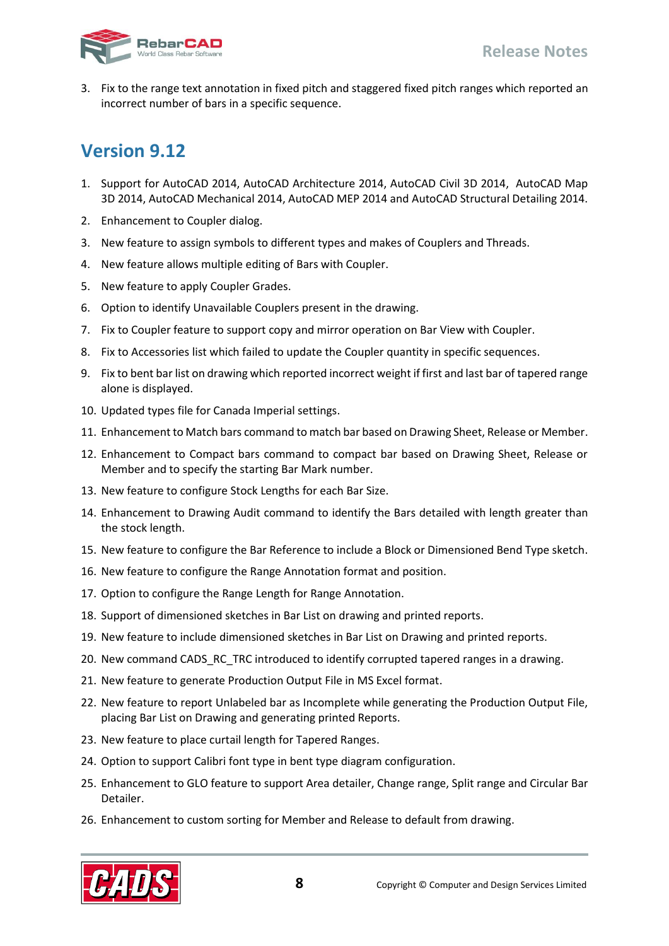

<span id="page-9-0"></span>3. Fix to the range text annotation in fixed pitch and staggered fixed pitch ranges which reported an incorrect number of bars in a specific sequence.

- 1. Support for AutoCAD 2014, AutoCAD Architecture 2014, AutoCAD Civil 3D 2014, AutoCAD Map 3D 2014, AutoCAD Mechanical 2014, AutoCAD MEP 2014 and AutoCAD Structural Detailing 2014.
- 2. Enhancement to Coupler dialog.
- 3. New feature to assign symbols to different types and makes of Couplers and Threads.
- 4. New feature allows multiple editing of Bars with Coupler.
- 5. New feature to apply Coupler Grades.
- 6. Option to identify Unavailable Couplers present in the drawing.
- 7. Fix to Coupler feature to support copy and mirror operation on Bar View with Coupler.
- 8. Fix to Accessories list which failed to update the Coupler quantity in specific sequences.
- 9. Fix to bent bar list on drawing which reported incorrect weight if first and last bar of tapered range alone is displayed.
- 10. Updated types file for Canada Imperial settings.
- 11. Enhancement to Match bars command to match bar based on Drawing Sheet, Release or Member.
- 12. Enhancement to Compact bars command to compact bar based on Drawing Sheet, Release or Member and to specify the starting Bar Mark number.
- 13. New feature to configure Stock Lengths for each Bar Size.
- 14. Enhancement to Drawing Audit command to identify the Bars detailed with length greater than the stock length.
- 15. New feature to configure the Bar Reference to include a Block or Dimensioned Bend Type sketch.
- 16. New feature to configure the Range Annotation format and position.
- 17. Option to configure the Range Length for Range Annotation.
- 18. Support of dimensioned sketches in Bar List on drawing and printed reports.
- 19. New feature to include dimensioned sketches in Bar List on Drawing and printed reports.
- 20. New command CADS\_RC\_TRC introduced to identify corrupted tapered ranges in a drawing.
- 21. New feature to generate Production Output File in MS Excel format.
- 22. New feature to report Unlabeled bar as Incomplete while generating the Production Output File, placing Bar List on Drawing and generating printed Reports.
- 23. New feature to place curtail length for Tapered Ranges.
- 24. Option to support Calibri font type in bent type diagram configuration.
- 25. Enhancement to GLO feature to support Area detailer, Change range, Split range and Circular Bar Detailer.
- 26. Enhancement to custom sorting for Member and Release to default from drawing.

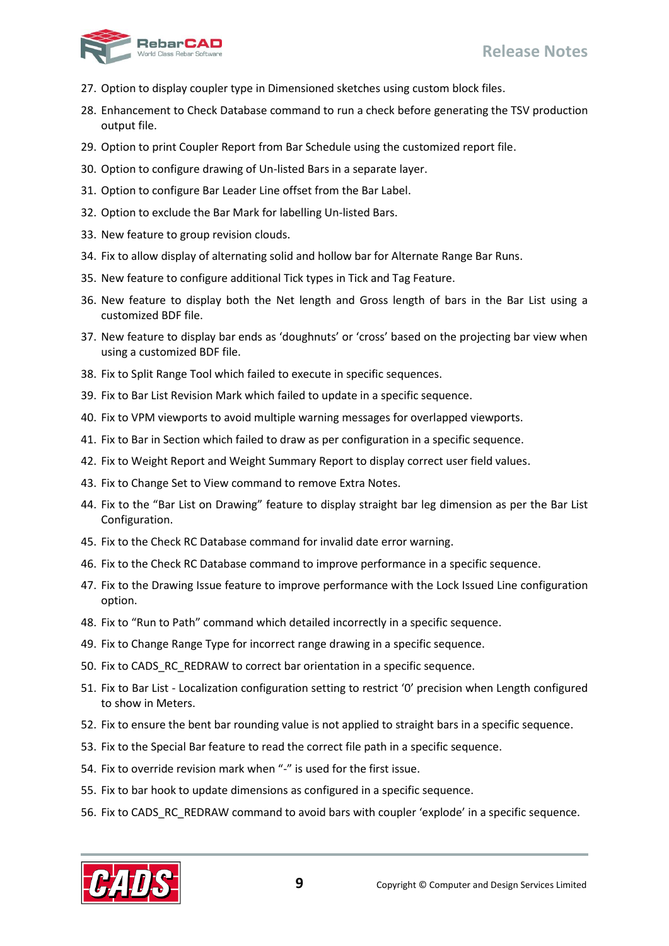

- 27. Option to display coupler type in Dimensioned sketches using custom block files.
- 28. Enhancement to Check Database command to run a check before generating the TSV production output file.
- 29. Option to print Coupler Report from Bar Schedule using the customized report file.
- 30. Option to configure drawing of Un-listed Bars in a separate layer.
- 31. Option to configure Bar Leader Line offset from the Bar Label.
- 32. Option to exclude the Bar Mark for labelling Un-listed Bars.
- 33. New feature to group revision clouds.
- 34. Fix to allow display of alternating solid and hollow bar for Alternate Range Bar Runs.
- 35. New feature to configure additional Tick types in Tick and Tag Feature.
- 36. New feature to display both the Net length and Gross length of bars in the Bar List using a customized BDF file.
- 37. New feature to display bar ends as 'doughnuts' or 'cross' based on the projecting bar view when using a customized BDF file.
- 38. Fix to Split Range Tool which failed to execute in specific sequences.
- 39. Fix to Bar List Revision Mark which failed to update in a specific sequence.
- 40. Fix to VPM viewports to avoid multiple warning messages for overlapped viewports.
- 41. Fix to Bar in Section which failed to draw as per configuration in a specific sequence.
- 42. Fix to Weight Report and Weight Summary Report to display correct user field values.
- 43. Fix to Change Set to View command to remove Extra Notes.
- 44. Fix to the "Bar List on Drawing" feature to display straight bar leg dimension as per the Bar List Configuration.
- 45. Fix to the Check RC Database command for invalid date error warning.
- 46. Fix to the Check RC Database command to improve performance in a specific sequence.
- 47. Fix to the Drawing Issue feature to improve performance with the Lock Issued Line configuration option.
- 48. Fix to "Run to Path" command which detailed incorrectly in a specific sequence.
- 49. Fix to Change Range Type for incorrect range drawing in a specific sequence.
- 50. Fix to CADS\_RC\_REDRAW to correct bar orientation in a specific sequence.
- 51. Fix to Bar List Localization configuration setting to restrict '0' precision when Length configured to show in Meters.
- 52. Fix to ensure the bent bar rounding value is not applied to straight bars in a specific sequence.
- 53. Fix to the Special Bar feature to read the correct file path in a specific sequence.
- 54. Fix to override revision mark when "-" is used for the first issue.
- 55. Fix to bar hook to update dimensions as configured in a specific sequence.
- 56. Fix to CADS\_RC\_REDRAW command to avoid bars with coupler 'explode' in a specific sequence.

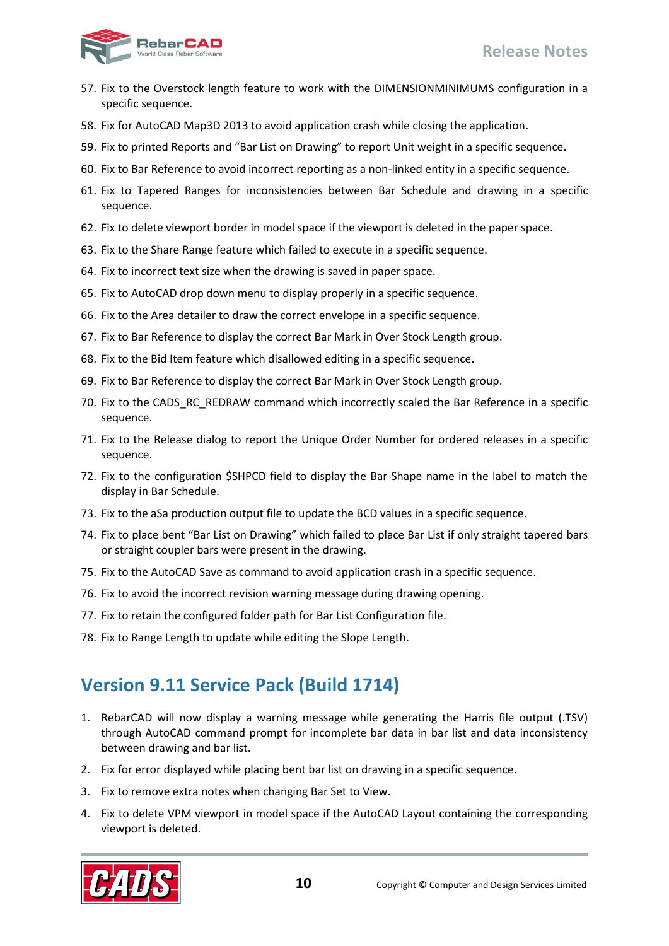

- 57. Fix to the Overstock length feature to work with the DIMENSIONMINIMUMS configuration in a specific sequence.
- 58. Fix for AutoCAD Map3D 2013 to avoid application crash while closing the application.
- 59. Fix to printed Reports and "Bar List on Drawing" to report Unit weight in a specific sequence.
- 60. Fix to Bar Reference to avoid incorrect reporting as a non-linked entity in a specific sequence.
- 61. Fix to Tapered Ranges for inconsistencies between Bar Schedule and drawing in a specific sequence.
- 62. Fix to delete viewport border in model space if the viewport is deleted in the paper space.
- 63. Fix to the Share Range feature which failed to execute in a specific sequence.
- 64. Fix to incorrect text size when the drawing is saved in paper space.
- 65. Fix to AutoCAD drop down menu to display properly in a specific sequence.
- 66. Fix to the Area detailer to draw the correct envelope in a specific sequence.
- 67. Fix to Bar Reference to display the correct Bar Mark in Over Stock Length group.
- 68. Fix to the Bid Item feature which disallowed editing in a specific sequence.
- 69. Fix to Bar Reference to display the correct Bar Mark in Over Stock Length group.
- 70. Fix to the CADS\_RC\_REDRAW command which incorrectly scaled the Bar Reference in a specific sequence.
- 71. Fix to the Release dialog to report the Unique Order Number for ordered releases in a specific sequence.
- 72. Fix to the configuration \$SHPCD field to display the Bar Shape name in the label to match the display in Bar Schedule.
- 73. Fix to the aSa production output file to update the BCD values in a specific sequence.
- 74. Fix to place bent "Bar List on Drawing" which failed to place Bar List if only straight tapered bars or straight coupler bars were present in the drawing.
- 75. Fix to the AutoCAD Save as command to avoid application crash in a specific sequence.
- 76. Fix to avoid the incorrect revision warning message during drawing opening.
- 77. Fix to retain the configured folder path for Bar List Configuration file.
- <span id="page-11-0"></span>78. Fix to Range Length to update while editing the Slope Length.

### **Version 9.11 Service Pack (Build 1714)**

- 1. RebarCAD will now display a warning message while generating the Harris file output (.TSV) through AutoCAD command prompt for incomplete bar data in bar list and data inconsistency between drawing and bar list.
- 2. Fix for error displayed while placing bent bar list on drawing in a specific sequence.
- 3. Fix to remove extra notes when changing Bar Set to View.
- 4. Fix to delete VPM viewport in model space if the AutoCAD Layout containing the corresponding viewport is deleted.

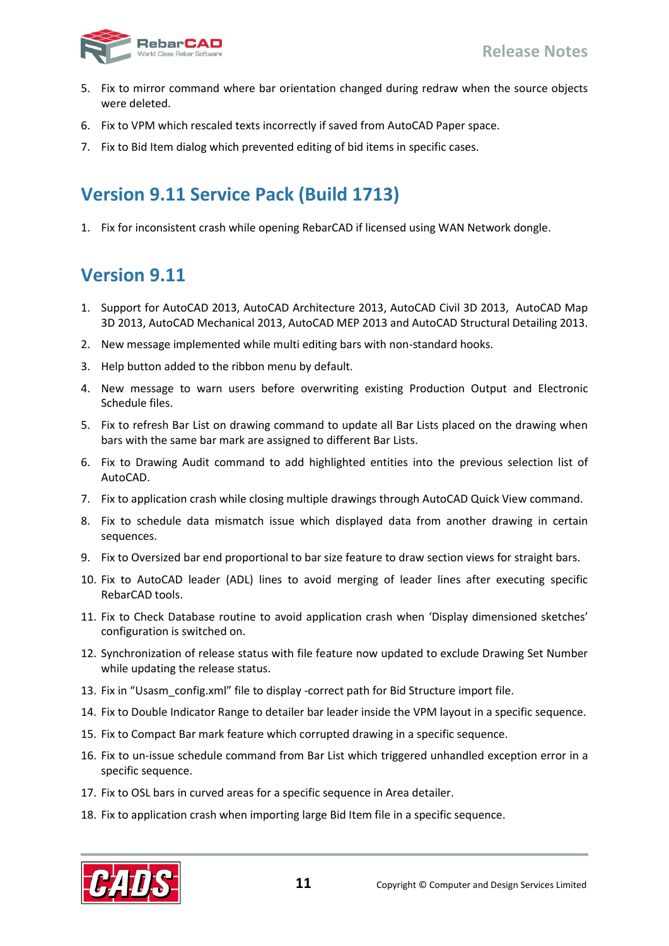

- 5. Fix to mirror command where bar orientation changed during redraw when the source objects were deleted.
- 6. Fix to VPM which rescaled texts incorrectly if saved from AutoCAD Paper space.
- <span id="page-12-0"></span>7. Fix to Bid Item dialog which prevented editing of bid items in specific cases.

## **Version 9.11 Service Pack (Build 1713)**

<span id="page-12-1"></span>1. Fix for inconsistent crash while opening RebarCAD if licensed using WAN Network dongle.

- 1. Support for AutoCAD 2013, AutoCAD Architecture 2013, AutoCAD Civil 3D 2013, AutoCAD Map 3D 2013, AutoCAD Mechanical 2013, AutoCAD MEP 2013 and AutoCAD Structural Detailing 2013.
- 2. New message implemented while multi editing bars with non-standard hooks.
- 3. Help button added to the ribbon menu by default.
- 4. New message to warn users before overwriting existing Production Output and Electronic Schedule files.
- 5. Fix to refresh Bar List on drawing command to update all Bar Lists placed on the drawing when bars with the same bar mark are assigned to different Bar Lists.
- 6. Fix to Drawing Audit command to add highlighted entities into the previous selection list of AutoCAD.
- 7. Fix to application crash while closing multiple drawings through AutoCAD Quick View command.
- 8. Fix to schedule data mismatch issue which displayed data from another drawing in certain sequences.
- 9. Fix to Oversized bar end proportional to bar size feature to draw section views for straight bars.
- 10. Fix to AutoCAD leader (ADL) lines to avoid merging of leader lines after executing specific RebarCAD tools.
- 11. Fix to Check Database routine to avoid application crash when 'Display dimensioned sketches' configuration is switched on.
- 12. Synchronization of release status with file feature now updated to exclude Drawing Set Number while updating the release status.
- 13. Fix in "Usasm\_config.xml" file to display -correct path for Bid Structure import file.
- 14. Fix to Double Indicator Range to detailer bar leader inside the VPM layout in a specific sequence.
- 15. Fix to Compact Bar mark feature which corrupted drawing in a specific sequence.
- 16. Fix to un-issue schedule command from Bar List which triggered unhandled exception error in a specific sequence.
- 17. Fix to OSL bars in curved areas for a specific sequence in Area detailer.
- 18. Fix to application crash when importing large Bid Item file in a specific sequence.

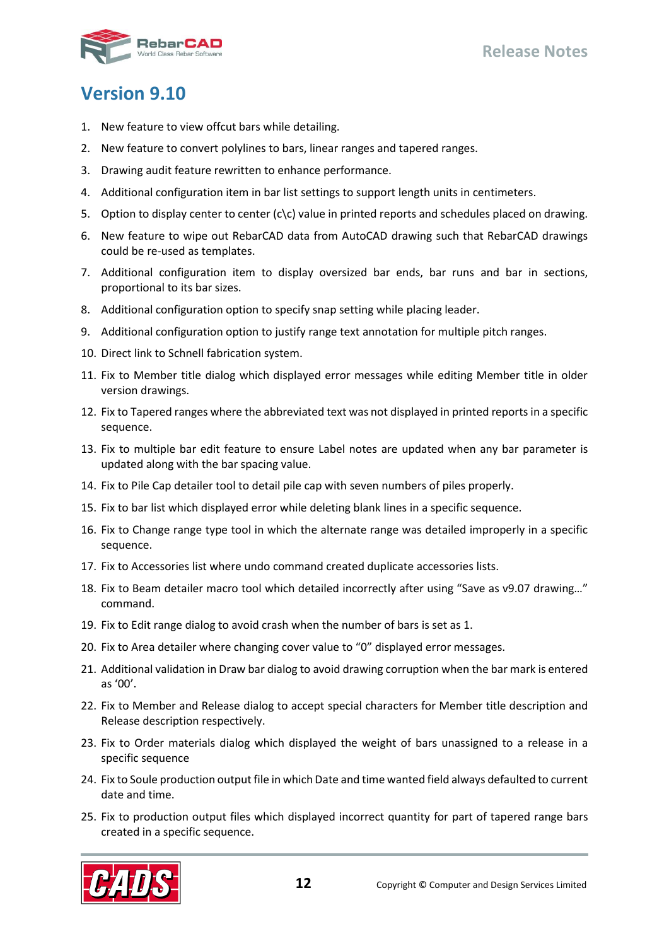

- <span id="page-13-0"></span>1. New feature to view offcut bars while detailing.
- 2. New feature to convert polylines to bars, linear ranges and tapered ranges.
- 3. Drawing audit feature rewritten to enhance performance.
- 4. Additional configuration item in bar list settings to support length units in centimeters.
- 5. Option to display center to center  $(c\backslash c)$  value in printed reports and schedules placed on drawing.
- 6. New feature to wipe out RebarCAD data from AutoCAD drawing such that RebarCAD drawings could be re-used as templates.
- 7. Additional configuration item to display oversized bar ends, bar runs and bar in sections, proportional to its bar sizes.
- 8. Additional configuration option to specify snap setting while placing leader.
- 9. Additional configuration option to justify range text annotation for multiple pitch ranges.
- 10. Direct link to Schnell fabrication system.
- 11. Fix to Member title dialog which displayed error messages while editing Member title in older version drawings.
- 12. Fix to Tapered ranges where the abbreviated text was not displayed in printed reports in a specific sequence.
- 13. Fix to multiple bar edit feature to ensure Label notes are updated when any bar parameter is updated along with the bar spacing value.
- 14. Fix to Pile Cap detailer tool to detail pile cap with seven numbers of piles properly.
- 15. Fix to bar list which displayed error while deleting blank lines in a specific sequence.
- 16. Fix to Change range type tool in which the alternate range was detailed improperly in a specific sequence.
- 17. Fix to Accessories list where undo command created duplicate accessories lists.
- 18. Fix to Beam detailer macro tool which detailed incorrectly after using "Save as v9.07 drawing…" command.
- 19. Fix to Edit range dialog to avoid crash when the number of bars is set as 1.
- 20. Fix to Area detailer where changing cover value to "0" displayed error messages.
- 21. Additional validation in Draw bar dialog to avoid drawing corruption when the bar mark is entered as '00'.
- 22. Fix to Member and Release dialog to accept special characters for Member title description and Release description respectively.
- 23. Fix to Order materials dialog which displayed the weight of bars unassigned to a release in a specific sequence
- 24. Fix to Soule production output file in which Date and time wanted field always defaulted to current date and time.
- 25. Fix to production output files which displayed incorrect quantity for part of tapered range bars created in a specific sequence.

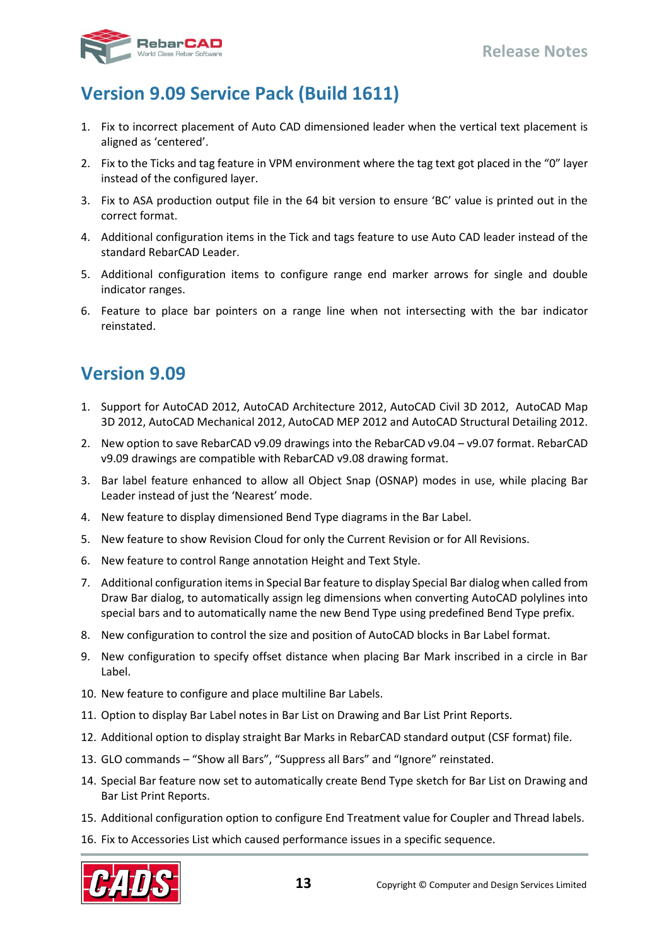

# <span id="page-14-0"></span>**Version 9.09 Service Pack (Build 1611)**

- 1. Fix to incorrect placement of Auto CAD dimensioned leader when the vertical text placement is aligned as 'centered'.
- 2. Fix to the Ticks and tag feature in VPM environment where the tag text got placed in the "0" layer instead of the configured layer.
- 3. Fix to ASA production output file in the 64 bit version to ensure 'BC' value is printed out in the correct format.
- 4. Additional configuration items in the Tick and tags feature to use Auto CAD leader instead of the standard RebarCAD Leader.
- 5. Additional configuration items to configure range end marker arrows for single and double indicator ranges.
- <span id="page-14-1"></span>6. Feature to place bar pointers on a range line when not intersecting with the bar indicator reinstated.

- 1. Support for AutoCAD 2012, AutoCAD Architecture 2012, AutoCAD Civil 3D 2012, AutoCAD Map 3D 2012, AutoCAD Mechanical 2012, AutoCAD MEP 2012 and AutoCAD Structural Detailing 2012.
- 2. New option to save RebarCAD v9.09 drawings into the RebarCAD v9.04 v9.07 format. RebarCAD v9.09 drawings are compatible with RebarCAD v9.08 drawing format.
- 3. Bar label feature enhanced to allow all Object Snap (OSNAP) modes in use, while placing Bar Leader instead of just the 'Nearest' mode.
- 4. New feature to display dimensioned Bend Type diagrams in the Bar Label.
- 5. New feature to show Revision Cloud for only the Current Revision or for All Revisions.
- 6. New feature to control Range annotation Height and Text Style.
- 7. Additional configuration items in Special Bar feature to display Special Bar dialog when called from Draw Bar dialog, to automatically assign leg dimensions when converting AutoCAD polylines into special bars and to automatically name the new Bend Type using predefined Bend Type prefix.
- 8. New configuration to control the size and position of AutoCAD blocks in Bar Label format.
- 9. New configuration to specify offset distance when placing Bar Mark inscribed in a circle in Bar Label.
- 10. New feature to configure and place multiline Bar Labels.
- 11. Option to display Bar Label notes in Bar List on Drawing and Bar List Print Reports.
- 12. Additional option to display straight Bar Marks in RebarCAD standard output (CSF format) file.
- 13. GLO commands "Show all Bars", "Suppress all Bars" and "Ignore" reinstated.
- 14. Special Bar feature now set to automatically create Bend Type sketch for Bar List on Drawing and Bar List Print Reports.
- 15. Additional configuration option to configure End Treatment value for Coupler and Thread labels.
- 16. Fix to Accessories List which caused performance issues in a specific sequence.

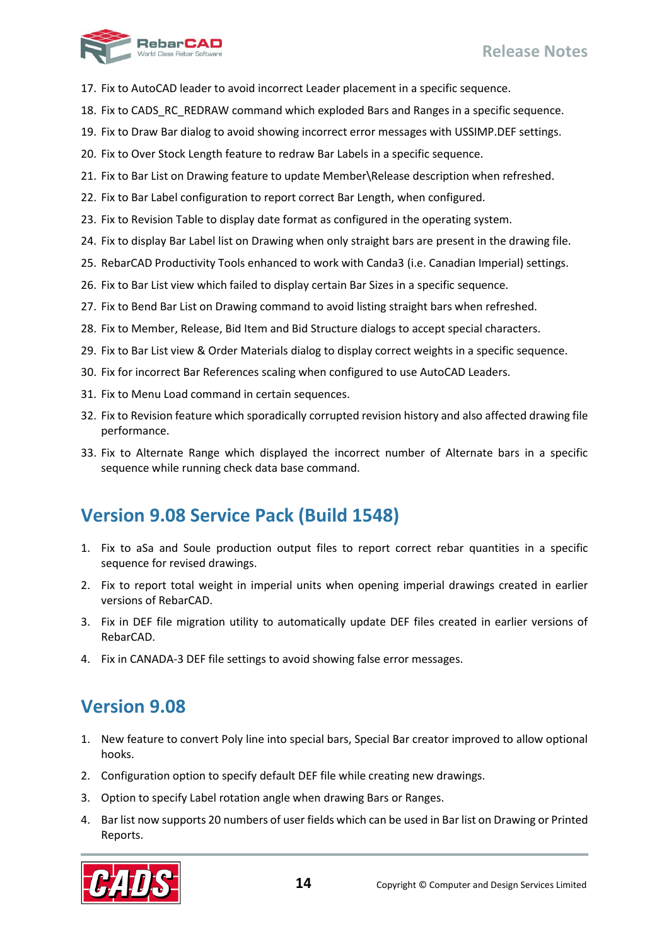

- 17. Fix to AutoCAD leader to avoid incorrect Leader placement in a specific sequence.
- 18. Fix to CADS\_RC\_REDRAW command which exploded Bars and Ranges in a specific sequence.
- 19. Fix to Draw Bar dialog to avoid showing incorrect error messages with USSIMP.DEF settings.
- 20. Fix to Over Stock Length feature to redraw Bar Labels in a specific sequence.
- 21. Fix to Bar List on Drawing feature to update Member\Release description when refreshed.
- 22. Fix to Bar Label configuration to report correct Bar Length, when configured.
- 23. Fix to Revision Table to display date format as configured in the operating system.
- 24. Fix to display Bar Label list on Drawing when only straight bars are present in the drawing file.
- 25. RebarCAD Productivity Tools enhanced to work with Canda3 (i.e. Canadian Imperial) settings.
- 26. Fix to Bar List view which failed to display certain Bar Sizes in a specific sequence.
- 27. Fix to Bend Bar List on Drawing command to avoid listing straight bars when refreshed.
- 28. Fix to Member, Release, Bid Item and Bid Structure dialogs to accept special characters.
- 29. Fix to Bar List view & Order Materials dialog to display correct weights in a specific sequence.
- 30. Fix for incorrect Bar References scaling when configured to use AutoCAD Leaders.
- 31. Fix to Menu Load command in certain sequences.
- 32. Fix to Revision feature which sporadically corrupted revision history and also affected drawing file performance.
- 33. Fix to Alternate Range which displayed the incorrect number of Alternate bars in a specific sequence while running check data base command.

# <span id="page-15-0"></span>**Version 9.08 Service Pack (Build 1548)**

- 1. Fix to aSa and Soule production output files to report correct rebar quantities in a specific sequence for revised drawings.
- 2. Fix to report total weight in imperial units when opening imperial drawings created in earlier versions of RebarCAD.
- 3. Fix in DEF file migration utility to automatically update DEF files created in earlier versions of RebarCAD.
- <span id="page-15-1"></span>4. Fix in CANADA-3 DEF file settings to avoid showing false error messages.

- 1. New feature to convert Poly line into special bars, Special Bar creator improved to allow optional hooks.
- 2. Configuration option to specify default DEF file while creating new drawings.
- 3. Option to specify Label rotation angle when drawing Bars or Ranges.
- 4. Bar list now supports 20 numbers of user fields which can be used in Bar list on Drawing or Printed Reports.

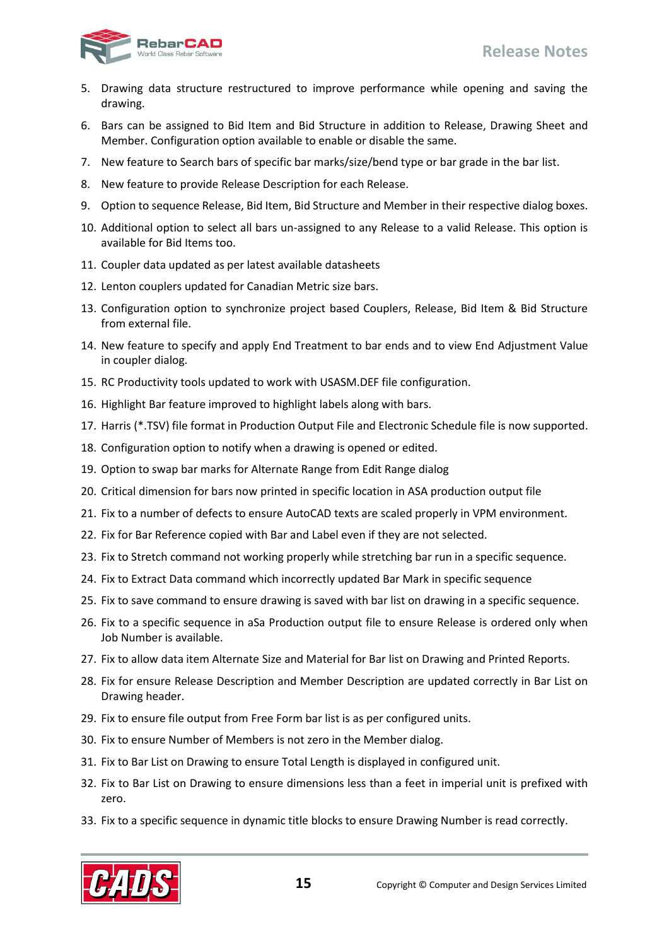

- 5. Drawing data structure restructured to improve performance while opening and saving the drawing.
- 6. Bars can be assigned to Bid Item and Bid Structure in addition to Release, Drawing Sheet and Member. Configuration option available to enable or disable the same.
- 7. New feature to Search bars of specific bar marks/size/bend type or bar grade in the bar list.
- 8. New feature to provide Release Description for each Release.
- 9. Option to sequence Release, Bid Item, Bid Structure and Member in their respective dialog boxes.
- 10. Additional option to select all bars un-assigned to any Release to a valid Release. This option is available for Bid Items too.
- 11. Coupler data updated as per latest available datasheets
- 12. Lenton couplers updated for Canadian Metric size bars.
- 13. Configuration option to synchronize project based Couplers, Release, Bid Item & Bid Structure from external file.
- 14. New feature to specify and apply End Treatment to bar ends and to view End Adjustment Value in coupler dialog.
- 15. RC Productivity tools updated to work with USASM.DEF file configuration.
- 16. Highlight Bar feature improved to highlight labels along with bars.
- 17. Harris (\*.TSV) file format in Production Output File and Electronic Schedule file is now supported.
- 18. Configuration option to notify when a drawing is opened or edited.
- 19. Option to swap bar marks for Alternate Range from Edit Range dialog
- 20. Critical dimension for bars now printed in specific location in ASA production output file
- 21. Fix to a number of defects to ensure AutoCAD texts are scaled properly in VPM environment.
- 22. Fix for Bar Reference copied with Bar and Label even if they are not selected.
- 23. Fix to Stretch command not working properly while stretching bar run in a specific sequence.
- 24. Fix to Extract Data command which incorrectly updated Bar Mark in specific sequence
- 25. Fix to save command to ensure drawing is saved with bar list on drawing in a specific sequence.
- 26. Fix to a specific sequence in aSa Production output file to ensure Release is ordered only when Job Number is available.
- 27. Fix to allow data item Alternate Size and Material for Bar list on Drawing and Printed Reports.
- 28. Fix for ensure Release Description and Member Description are updated correctly in Bar List on Drawing header.
- 29. Fix to ensure file output from Free Form bar list is as per configured units.
- 30. Fix to ensure Number of Members is not zero in the Member dialog.
- 31. Fix to Bar List on Drawing to ensure Total Length is displayed in configured unit.
- 32. Fix to Bar List on Drawing to ensure dimensions less than a feet in imperial unit is prefixed with zero.
- 33. Fix to a specific sequence in dynamic title blocks to ensure Drawing Number is read correctly.

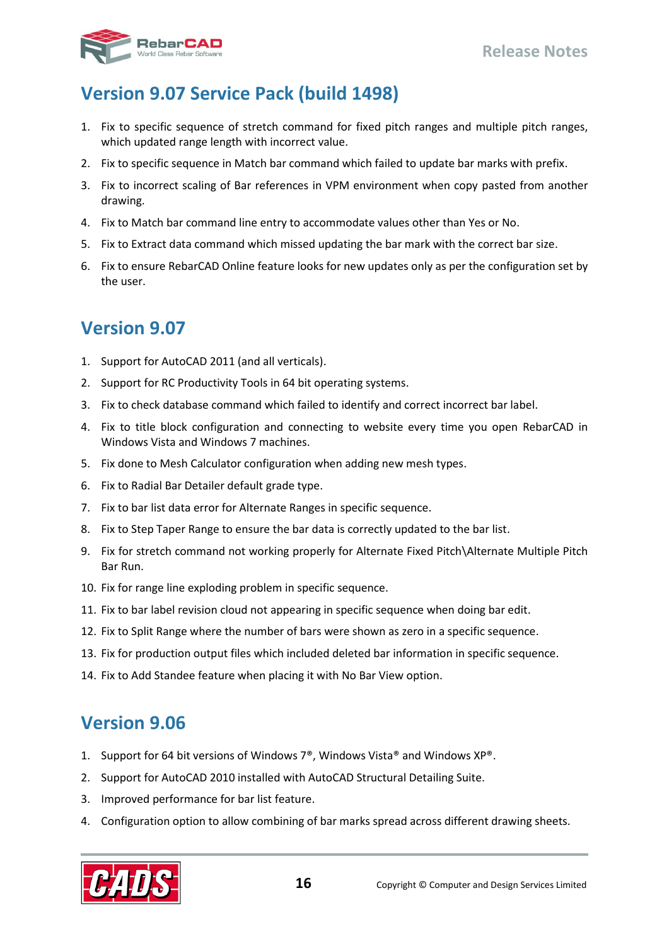

# <span id="page-17-0"></span>**Version 9.07 Service Pack (build 1498)**

- 1. Fix to specific sequence of stretch command for fixed pitch ranges and multiple pitch ranges, which updated range length with incorrect value.
- 2. Fix to specific sequence in Match bar command which failed to update bar marks with prefix.
- 3. Fix to incorrect scaling of Bar references in VPM environment when copy pasted from another drawing.
- 4. Fix to Match bar command line entry to accommodate values other than Yes or No.
- 5. Fix to Extract data command which missed updating the bar mark with the correct bar size.
- 6. Fix to ensure RebarCAD Online feature looks for new updates only as per the configuration set by the user.

### <span id="page-17-1"></span>**Version 9.07**

- 1. Support for AutoCAD 2011 (and all verticals).
- 2. Support for RC Productivity Tools in 64 bit operating systems.
- 3. Fix to check database command which failed to identify and correct incorrect bar label.
- 4. Fix to title block configuration and connecting to website every time you open RebarCAD in Windows Vista and Windows 7 machines.
- 5. Fix done to Mesh Calculator configuration when adding new mesh types.
- 6. Fix to Radial Bar Detailer default grade type.
- 7. Fix to bar list data error for Alternate Ranges in specific sequence.
- 8. Fix to Step Taper Range to ensure the bar data is correctly updated to the bar list.
- 9. Fix for stretch command not working properly for Alternate Fixed Pitch\Alternate Multiple Pitch Bar Run.
- 10. Fix for range line exploding problem in specific sequence.
- 11. Fix to bar label revision cloud not appearing in specific sequence when doing bar edit.
- 12. Fix to Split Range where the number of bars were shown as zero in a specific sequence.
- 13. Fix for production output files which included deleted bar information in specific sequence.
- <span id="page-17-2"></span>14. Fix to Add Standee feature when placing it with No Bar View option.

- 1. Support for 64 bit versions of Windows 7®, Windows Vista® and Windows XP®.
- 2. Support for AutoCAD 2010 installed with AutoCAD Structural Detailing Suite.
- 3. Improved performance for bar list feature.
- 4. Configuration option to allow combining of bar marks spread across different drawing sheets.

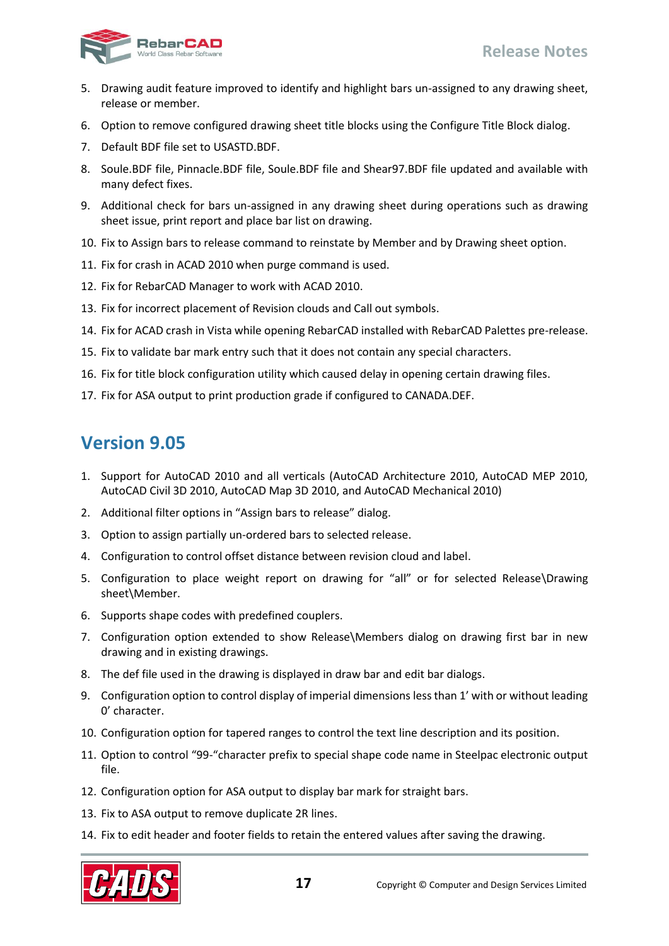

- 5. Drawing audit feature improved to identify and highlight bars un-assigned to any drawing sheet, release or member.
- 6. Option to remove configured drawing sheet title blocks using the Configure Title Block dialog.
- 7. Default BDF file set to USASTD.BDF.
- 8. Soule.BDF file, Pinnacle.BDF file, Soule.BDF file and Shear97.BDF file updated and available with many defect fixes.
- 9. Additional check for bars un-assigned in any drawing sheet during operations such as drawing sheet issue, print report and place bar list on drawing.
- 10. Fix to Assign bars to release command to reinstate by Member and by Drawing sheet option.
- 11. Fix for crash in ACAD 2010 when purge command is used.
- 12. Fix for RebarCAD Manager to work with ACAD 2010.
- 13. Fix for incorrect placement of Revision clouds and Call out symbols.
- 14. Fix for ACAD crash in Vista while opening RebarCAD installed with RebarCAD Palettes pre-release.
- 15. Fix to validate bar mark entry such that it does not contain any special characters.
- 16. Fix for title block configuration utility which caused delay in opening certain drawing files.
- <span id="page-18-0"></span>17. Fix for ASA output to print production grade if configured to CANADA.DEF.

- 1. Support for AutoCAD 2010 and all verticals (AutoCAD Architecture 2010, AutoCAD MEP 2010, AutoCAD Civil 3D 2010, AutoCAD Map 3D 2010, and AutoCAD Mechanical 2010)
- 2. Additional filter options in "Assign bars to release" dialog.
- 3. Option to assign partially un-ordered bars to selected release.
- 4. Configuration to control offset distance between revision cloud and label.
- 5. Configuration to place weight report on drawing for "all" or for selected Release\Drawing sheet\Member.
- 6. Supports shape codes with predefined couplers.
- 7. Configuration option extended to show Release\Members dialog on drawing first bar in new drawing and in existing drawings.
- 8. The def file used in the drawing is displayed in draw bar and edit bar dialogs.
- 9. Configuration option to control display of imperial dimensions less than 1' with or without leading 0' character.
- 10. Configuration option for tapered ranges to control the text line description and its position.
- 11. Option to control "99-"character prefix to special shape code name in Steelpac electronic output file.
- 12. Configuration option for ASA output to display bar mark for straight bars.
- 13. Fix to ASA output to remove duplicate 2R lines.
- 14. Fix to edit header and footer fields to retain the entered values after saving the drawing.

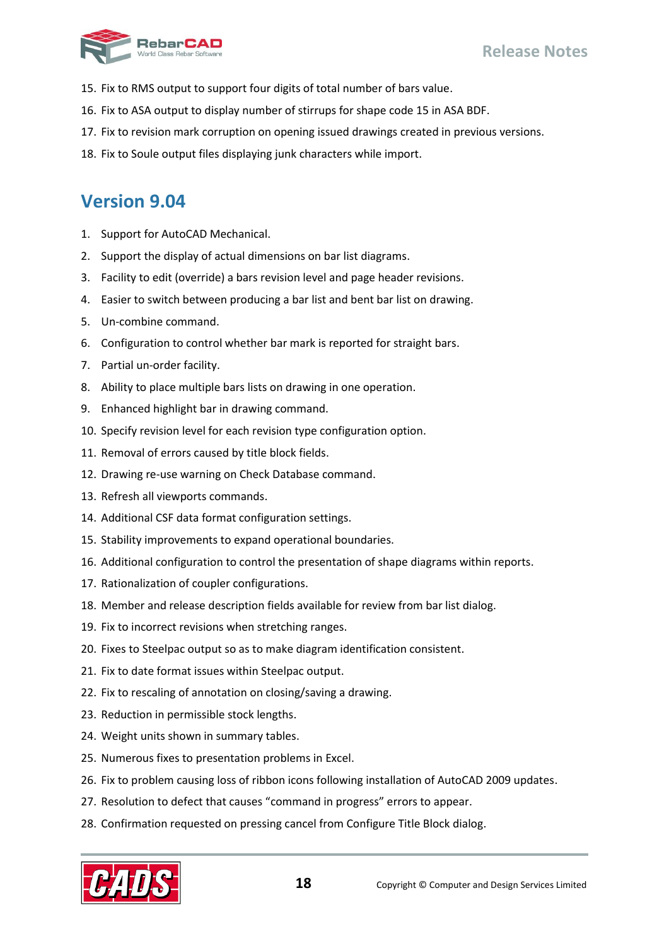

- 15. Fix to RMS output to support four digits of total number of bars value.
- 16. Fix to ASA output to display number of stirrups for shape code 15 in ASA BDF.
- 17. Fix to revision mark corruption on opening issued drawings created in previous versions.
- <span id="page-19-0"></span>18. Fix to Soule output files displaying junk characters while import.

- 1. Support for AutoCAD Mechanical.
- 2. Support the display of actual dimensions on bar list diagrams.
- 3. Facility to edit (override) a bars revision level and page header revisions.
- 4. Easier to switch between producing a bar list and bent bar list on drawing.
- 5. Un-combine command.
- 6. Configuration to control whether bar mark is reported for straight bars.
- 7. Partial un-order facility.
- 8. Ability to place multiple bars lists on drawing in one operation.
- 9. Enhanced highlight bar in drawing command.
- 10. Specify revision level for each revision type configuration option.
- 11. Removal of errors caused by title block fields.
- 12. Drawing re-use warning on Check Database command.
- 13. Refresh all viewports commands.
- 14. Additional CSF data format configuration settings.
- 15. Stability improvements to expand operational boundaries.
- 16. Additional configuration to control the presentation of shape diagrams within reports.
- 17. Rationalization of coupler configurations.
- 18. Member and release description fields available for review from bar list dialog.
- 19. Fix to incorrect revisions when stretching ranges.
- 20. Fixes to Steelpac output so as to make diagram identification consistent.
- 21. Fix to date format issues within Steelpac output.
- 22. Fix to rescaling of annotation on closing/saving a drawing.
- 23. Reduction in permissible stock lengths.
- 24. Weight units shown in summary tables.
- 25. Numerous fixes to presentation problems in Excel.
- 26. Fix to problem causing loss of ribbon icons following installation of AutoCAD 2009 updates.
- 27. Resolution to defect that causes "command in progress" errors to appear.
- 28. Confirmation requested on pressing cancel from Configure Title Block dialog.

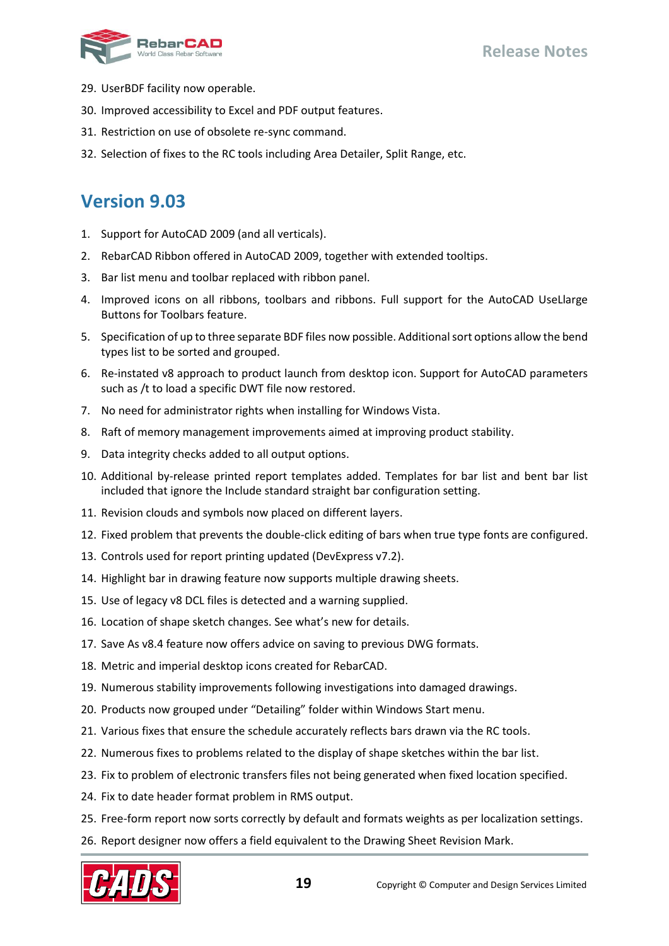

- 29. UserBDF facility now operable.
- 30. Improved accessibility to Excel and PDF output features.
- 31. Restriction on use of obsolete re-sync command.
- <span id="page-20-0"></span>32. Selection of fixes to the RC tools including Area Detailer, Split Range, etc.

- 1. Support for AutoCAD 2009 (and all verticals).
- 2. RebarCAD Ribbon offered in AutoCAD 2009, together with extended tooltips.
- 3. Bar list menu and toolbar replaced with ribbon panel.
- 4. Improved icons on all ribbons, toolbars and ribbons. Full support for the AutoCAD UseLlarge Buttons for Toolbars feature.
- 5. Specification of up to three separate BDF files now possible. Additional sort options allow the bend types list to be sorted and grouped.
- 6. Re-instated v8 approach to product launch from desktop icon. Support for AutoCAD parameters such as /t to load a specific DWT file now restored.
- 7. No need for administrator rights when installing for Windows Vista.
- 8. Raft of memory management improvements aimed at improving product stability.
- 9. Data integrity checks added to all output options.
- 10. Additional by-release printed report templates added. Templates for bar list and bent bar list included that ignore the Include standard straight bar configuration setting.
- 11. Revision clouds and symbols now placed on different layers.
- 12. Fixed problem that prevents the double-click editing of bars when true type fonts are configured.
- 13. Controls used for report printing updated (DevExpress v7.2).
- 14. Highlight bar in drawing feature now supports multiple drawing sheets.
- 15. Use of legacy v8 DCL files is detected and a warning supplied.
- 16. Location of shape sketch changes. See what's new for details.
- 17. Save As v8.4 feature now offers advice on saving to previous DWG formats.
- 18. Metric and imperial desktop icons created for RebarCAD.
- 19. Numerous stability improvements following investigations into damaged drawings.
- 20. Products now grouped under "Detailing" folder within Windows Start menu.
- 21. Various fixes that ensure the schedule accurately reflects bars drawn via the RC tools.
- 22. Numerous fixes to problems related to the display of shape sketches within the bar list.
- 23. Fix to problem of electronic transfers files not being generated when fixed location specified.
- 24. Fix to date header format problem in RMS output.
- 25. Free-form report now sorts correctly by default and formats weights as per localization settings.
- 26. Report designer now offers a field equivalent to the Drawing Sheet Revision Mark.

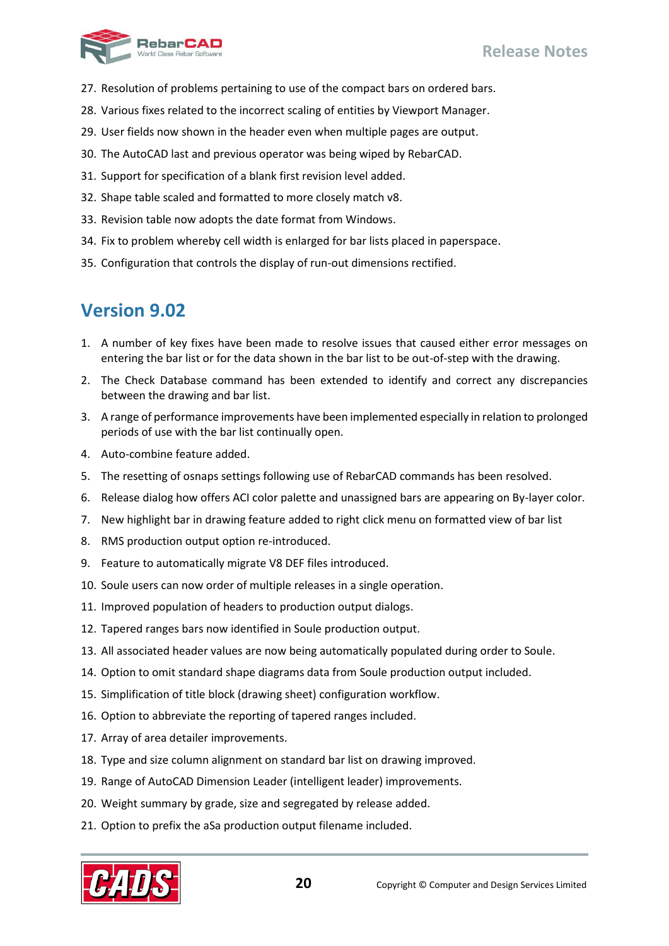

- 27. Resolution of problems pertaining to use of the compact bars on ordered bars.
- 28. Various fixes related to the incorrect scaling of entities by Viewport Manager.
- 29. User fields now shown in the header even when multiple pages are output.
- 30. The AutoCAD last and previous operator was being wiped by RebarCAD.
- 31. Support for specification of a blank first revision level added.
- 32. Shape table scaled and formatted to more closely match v8.
- 33. Revision table now adopts the date format from Windows.
- 34. Fix to problem whereby cell width is enlarged for bar lists placed in paperspace.
- <span id="page-21-0"></span>35. Configuration that controls the display of run-out dimensions rectified.

- 1. A number of key fixes have been made to resolve issues that caused either error messages on entering the bar list or for the data shown in the bar list to be out-of-step with the drawing.
- 2. The Check Database command has been extended to identify and correct any discrepancies between the drawing and bar list.
- 3. A range of performance improvements have been implemented especially in relation to prolonged periods of use with the bar list continually open.
- 4. Auto-combine feature added.
- 5. The resetting of osnaps settings following use of RebarCAD commands has been resolved.
- 6. Release dialog how offers ACI color palette and unassigned bars are appearing on By-layer color.
- 7. New highlight bar in drawing feature added to right click menu on formatted view of bar list
- 8. RMS production output option re-introduced.
- 9. Feature to automatically migrate V8 DEF files introduced.
- 10. Soule users can now order of multiple releases in a single operation.
- 11. Improved population of headers to production output dialogs.
- 12. Tapered ranges bars now identified in Soule production output.
- 13. All associated header values are now being automatically populated during order to Soule.
- 14. Option to omit standard shape diagrams data from Soule production output included.
- 15. Simplification of title block (drawing sheet) configuration workflow.
- 16. Option to abbreviate the reporting of tapered ranges included.
- 17. Array of area detailer improvements.
- 18. Type and size column alignment on standard bar list on drawing improved.
- 19. Range of AutoCAD Dimension Leader (intelligent leader) improvements.
- 20. Weight summary by grade, size and segregated by release added.
- 21. Option to prefix the aSa production output filename included.

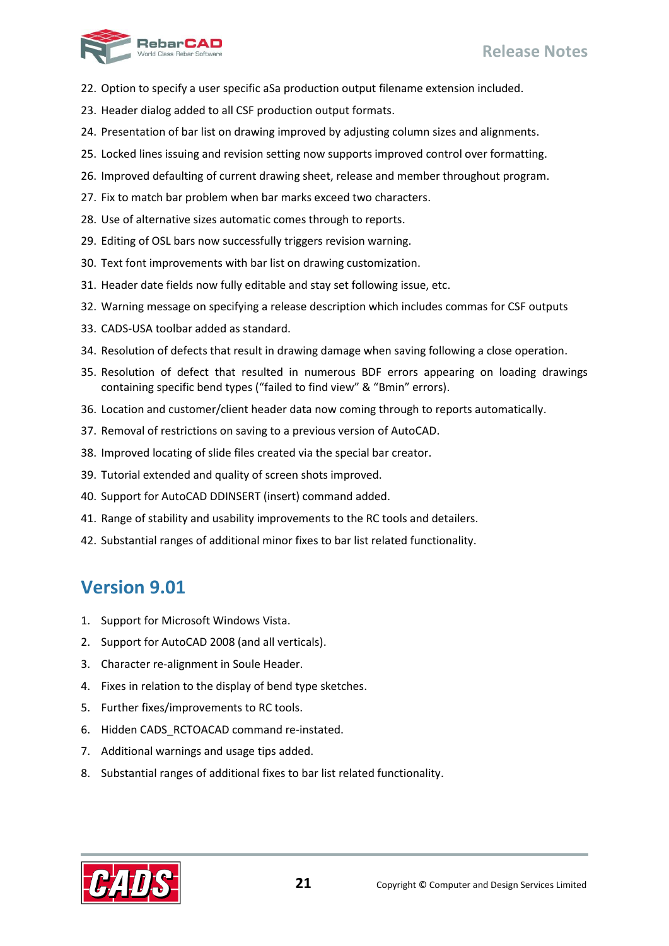

- 22. Option to specify a user specific aSa production output filename extension included.
- 23. Header dialog added to all CSF production output formats.
- 24. Presentation of bar list on drawing improved by adjusting column sizes and alignments.
- 25. Locked lines issuing and revision setting now supports improved control over formatting.
- 26. Improved defaulting of current drawing sheet, release and member throughout program.
- 27. Fix to match bar problem when bar marks exceed two characters.
- 28. Use of alternative sizes automatic comes through to reports.
- 29. Editing of OSL bars now successfully triggers revision warning.
- 30. Text font improvements with bar list on drawing customization.
- 31. Header date fields now fully editable and stay set following issue, etc.
- 32. Warning message on specifying a release description which includes commas for CSF outputs
- 33. CADS-USA toolbar added as standard.
- 34. Resolution of defects that result in drawing damage when saving following a close operation.
- 35. Resolution of defect that resulted in numerous BDF errors appearing on loading drawings containing specific bend types ("failed to find view" & "Bmin" errors).
- 36. Location and customer/client header data now coming through to reports automatically.
- 37. Removal of restrictions on saving to a previous version of AutoCAD.
- 38. Improved locating of slide files created via the special bar creator.
- 39. Tutorial extended and quality of screen shots improved.
- 40. Support for AutoCAD DDINSERT (insert) command added.
- 41. Range of stability and usability improvements to the RC tools and detailers.
- <span id="page-22-0"></span>42. Substantial ranges of additional minor fixes to bar list related functionality.

- 1. Support for Microsoft Windows Vista.
- 2. Support for AutoCAD 2008 (and all verticals).
- 3. Character re-alignment in Soule Header.
- 4. Fixes in relation to the display of bend type sketches.
- 5. Further fixes/improvements to RC tools.
- 6. Hidden CADS RCTOACAD command re-instated.
- 7. Additional warnings and usage tips added.
- 8. Substantial ranges of additional fixes to bar list related functionality.